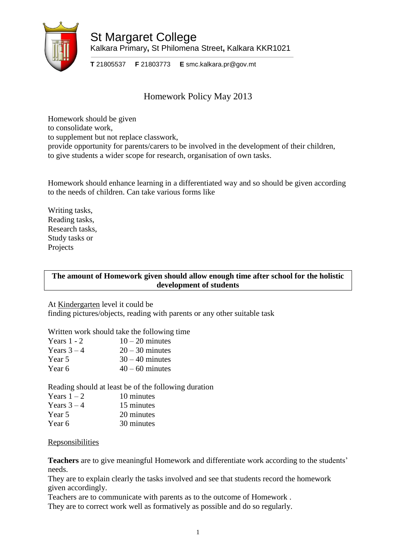

St Margaret College Kalkara Primary**,** St Philomena Street**,** Kalkara KKR1021

**T** 21805537 **F** 21803773 **E** smc.kalkara.pr@gov.mt

# Homework Policy May 2013

Homework should be given to consolidate work, to supplement but not replace classwork, provide opportunity for parents/carers to be involved in the development of their children, to give students a wider scope for research, organisation of own tasks.

Homework should enhance learning in a differentiated way and so should be given according to the needs of children. Can take various forms like

Writing tasks, Reading tasks, Research tasks, Study tasks or Projects

## **The amount of Homework given should allow enough time after school for the holistic development of students**

At Kindergarten level it could be

finding pictures/objects, reading with parents or any other suitable task

Written work should take the following time

| Years $1 - 2$ | $10-20$ minutes   |
|---------------|-------------------|
| Years $3-4$   | $20 - 30$ minutes |
| Year 5        | $30 - 40$ minutes |
| Year 6        | $40 - 60$ minutes |

Reading should at least be of the following duration

| Years $1-2$ | 10 minutes |
|-------------|------------|
| Years $3-4$ | 15 minutes |
| Year 5      | 20 minutes |
| Year 6      | 30 minutes |

Repsonsibilities

**Teachers** are to give meaningful Homework and differentiate work according to the students' needs.

They are to explain clearly the tasks involved and see that students record the homework given accordingly.

Teachers are to communicate with parents as to the outcome of Homework .

They are to correct work well as formatively as possible and do so regularly.